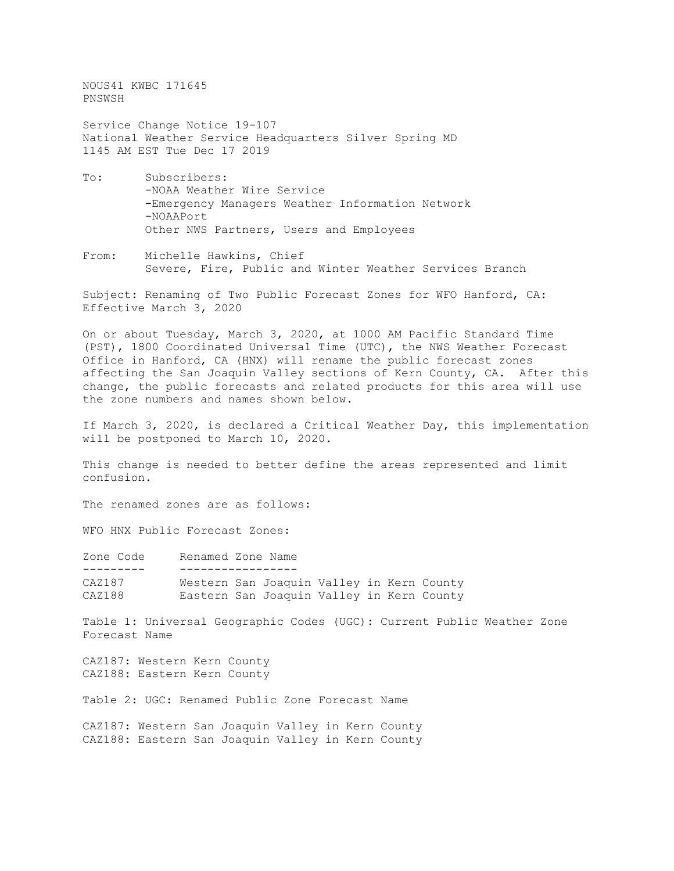NOUS41 KWBC 171645 PNSWSH

Service Change Notice 19-107 National Weather Service Headquarters Silver Spring MD 1145 AM EST Tue Dec 17 2019

- To: Subscribers: -NOAA Weather Wire Service -Emergency Managers Weather Information Network -NOAAPort Other NWS Partners, Users and Employees
- From: Michelle Hawkins, Chief Severe, Fire, Public and Winter Weather Services Branch

Subject: Renaming of Two Public Forecast Zones for WFO Hanford, CA: Effective March 3, 2020

On or about Tuesday, March 3, 2020, at 1000 AM Pacific Standard Time (PST), 1800 Coordinated Universal Time (UTC), the NWS Weather Forecast Office in Hanford, CA (HNX) will rename the public forecast zones affecting the San Joaquin Valley sections of Kern County, CA. After this change, the public forecasts and related products for this area will use the zone numbers and names shown below.

If March 3, 2020, is declared a Critical Weather Day, this implementation will be postponed to March 10, 2020.

This change is needed to better define the areas represented and limit confusion.

The renamed zones are as follows:

WFO HNX Public Forecast Zones:

| Zone Code | Renamed Zone Name                         |  |  |  |
|-----------|-------------------------------------------|--|--|--|
|           |                                           |  |  |  |
| CAZ187    | Western San Joaquin Valley in Kern County |  |  |  |
| CAZ188    | Eastern San Joaquin Valley in Kern County |  |  |  |

Table 1: Universal Geographic Codes (UGC): Current Public Weather Zone Forecast Name

CAZ187: Western Kern County CAZ188: Eastern Kern County

Table 2: UGC: Renamed Public Zone Forecast Name

CAZ187: Western San Joaquin Valley in Kern County CAZ188: Eastern San Joaquin Valley in Kern County